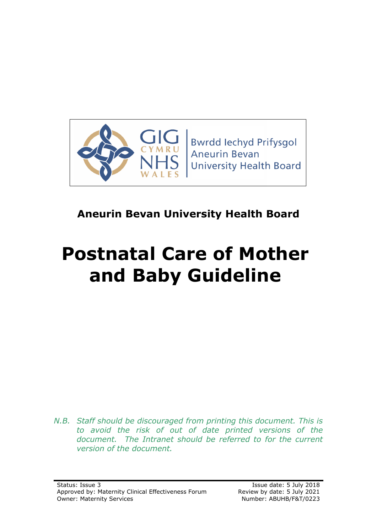

**Bwrdd lechyd Prifysgol Aneurin Bevan University Health Board** 

# **Aneurin Bevan University Health Board**

# **Postnatal Care of Mother and Baby Guideline**

*N.B. Staff should be discouraged from printing this document. This is to avoid the risk of out of date printed versions of the*  document. The Intranet should be referred to for the current *version of the document.*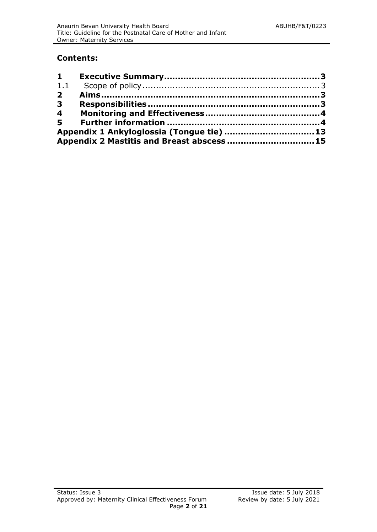#### **Contents:**

| 1.1                                       |                                            |  |
|-------------------------------------------|--------------------------------------------|--|
| $\overline{2}$                            |                                            |  |
| $\overline{\mathbf{3}}$                   |                                            |  |
| $\overline{\mathbf{4}}$                   |                                            |  |
|                                           |                                            |  |
| Appendix 1 Ankyloglossia (Tongue tie)  13 |                                            |  |
|                                           | Appendix 2 Mastitis and Breast abscess  15 |  |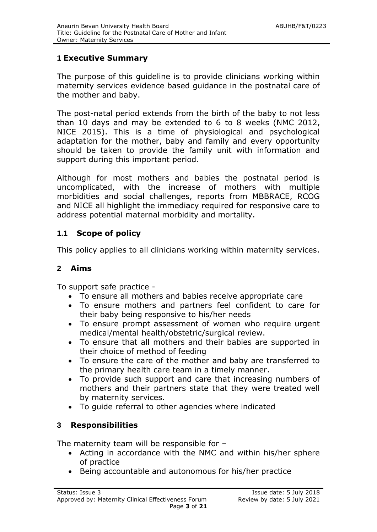# <span id="page-2-0"></span>**1 Executive Summary**

The purpose of this guideline is to provide clinicians working within maternity services evidence based guidance in the postnatal care of the mother and baby.

The post-natal period extends from the birth of the baby to not less than 10 days and may be extended to 6 to 8 weeks (NMC 2012, NICE 2015). This is a time of physiological and psychological adaptation for the mother, baby and family and every opportunity should be taken to provide the family unit with information and support during this important period.

Although for most mothers and babies the postnatal period is uncomplicated, with the increase of mothers with multiple morbidities and social challenges, reports from MBBRACE, RCOG and NICE all highlight the immediacy required for responsive care to address potential maternal morbidity and mortality.

# <span id="page-2-1"></span>**1.1 Scope of policy**

This policy applies to all clinicians working within maternity services.

#### <span id="page-2-2"></span>**2 Aims**

To support safe practice -

- To ensure all mothers and babies receive appropriate care
- To ensure mothers and partners feel confident to care for their baby being responsive to his/her needs
- To ensure prompt assessment of women who require urgent medical/mental health/obstetric/surgical review.
- To ensure that all mothers and their babies are supported in their choice of method of feeding
- To ensure the care of the mother and baby are transferred to the primary health care team in a timely manner.
- To provide such support and care that increasing numbers of mothers and their partners state that they were treated well by maternity services.
- To guide referral to other agencies where indicated

# <span id="page-2-3"></span>**3 Responsibilities**

The maternity team will be responsible for –

- Acting in accordance with the NMC and within his/her sphere of practice
- Being accountable and autonomous for his/her practice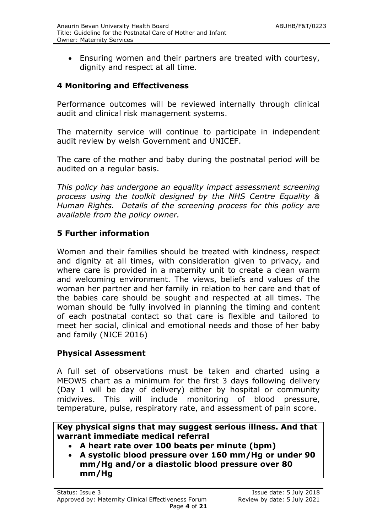Ensuring women and their partners are treated with courtesy, dignity and respect at all time.

# **4 Monitoring and Effectiveness**

Performance outcomes will be reviewed internally through clinical audit and clinical risk management systems.

The maternity service will continue to participate in independent audit review by welsh Government and UNICEF.

The care of the mother and baby during the postnatal period will be audited on a regular basis.

*This policy has undergone an equality impact assessment screening process using the toolkit designed by the NHS Centre Equality & Human Rights. Details of the screening process for this policy are available from the policy owner.*

#### **5 Further information**

Women and their families should be treated with kindness, respect and dignity at all times, with consideration given to privacy, and where care is provided in a maternity unit to create a clean warm and welcoming environment. The views, beliefs and values of the woman her partner and her family in relation to her care and that of the babies care should be sought and respected at all times. The woman should be fully involved in planning the timing and content of each postnatal contact so that care is flexible and tailored to meet her social, clinical and emotional needs and those of her baby and family (NICE 2016)

#### **Physical Assessment**

A full set of observations must be taken and charted using a MEOWS chart as a minimum for the first 3 days following delivery (Day 1 will be day of delivery) either by hospital or community midwives. This will include monitoring of blood pressure, temperature, pulse, respiratory rate, and assessment of pain score.

**Key physical signs that may suggest serious illness. And that warrant immediate medical referral**

- **A heart rate over 100 beats per minute (bpm)**
- **A systolic blood pressure over 160 mm/Hg or under 90 mm/Hg and/or a diastolic blood pressure over 80 mm/Hg**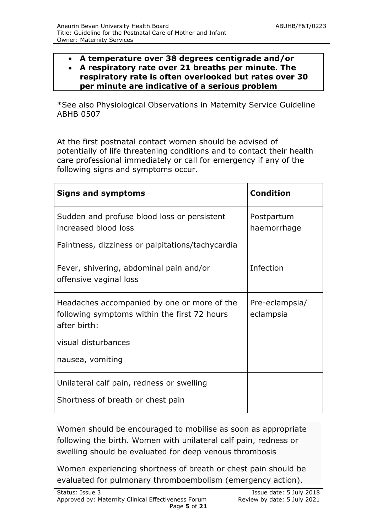**A temperature over 38 degrees centigrade and/or**

#### **A respiratory rate over 21 breaths per minute. The respiratory rate is often overlooked but rates over 30 per minute are indicative of a serious problem**

\*See also Physiological Observations in Maternity Service Guideline ABHB 0507

At the first postnatal contact women should be advised of potentially of life threatening conditions and to contact their health care professional immediately or call for emergency if any of the following signs and symptoms occur.

| <b>Signs and symptoms</b>                                                                                   | <b>Condition</b>            |
|-------------------------------------------------------------------------------------------------------------|-----------------------------|
| Sudden and profuse blood loss or persistent<br>increased blood loss                                         | Postpartum<br>haemorrhage   |
| Faintness, dizziness or palpitations/tachycardia                                                            |                             |
| Fever, shivering, abdominal pain and/or<br>offensive vaginal loss                                           | Infection                   |
| Headaches accompanied by one or more of the<br>following symptoms within the first 72 hours<br>after birth: | Pre-eclampsia/<br>eclampsia |
| visual disturbances                                                                                         |                             |
| nausea, vomiting                                                                                            |                             |
| Unilateral calf pain, redness or swelling                                                                   |                             |
| Shortness of breath or chest pain                                                                           |                             |

Women should be encouraged to mobilise as soon as appropriate following the birth. Women with unilateral calf pain, redness or swelling should be evaluated for deep venous thrombosis

Women experiencing shortness of breath or chest pain should be evaluated for pulmonary thromboembolism (emergency action).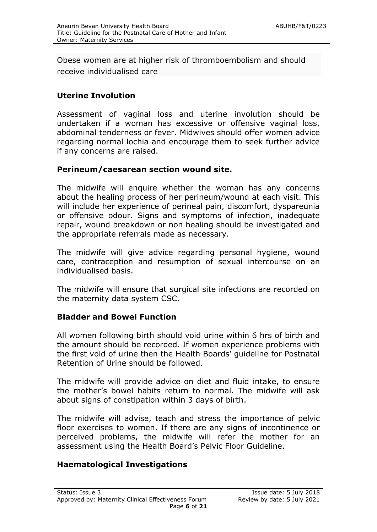Obese women are at higher risk of thromboembolism and should receive individualised care

# **Uterine Involution**

Assessment of vaginal loss and uterine involution should be undertaken if a woman has excessive or offensive vaginal loss, abdominal tenderness or fever. Midwives should offer women advice regarding normal lochia and encourage them to seek further advice if any concerns are raised.

#### **Perineum/caesarean section wound site.**

The midwife will enquire whether the woman has any concerns about the healing process of her perineum/wound at each visit. This will include her experience of perineal pain, discomfort, dyspareunia or offensive odour. Signs and symptoms of infection, inadequate repair, wound breakdown or non healing should be investigated and the appropriate referrals made as necessary.

The midwife will give advice regarding personal hygiene, wound care, contraception and resumption of sexual intercourse on an individualised basis.

The midwife will ensure that surgical site infections are recorded on the maternity data system CSC.

#### **Bladder and Bowel Function**

All women following birth should void urine within 6 hrs of birth and the amount should be recorded. If women experience problems with the first void of urine then the Health Boards' guideline for Postnatal Retention of Urine should be followed.

The midwife will provide advice on diet and fluid intake, to ensure the mother's bowel habits return to normal. The midwife will ask about signs of constipation within 3 days of birth.

The midwife will advise, teach and stress the importance of pelvic floor exercises to women. If there are any signs of incontinence or perceived problems, the midwife will refer the mother for an assessment using the Health Board's Pelvic Floor Guideline.

#### **Haematological Investigations**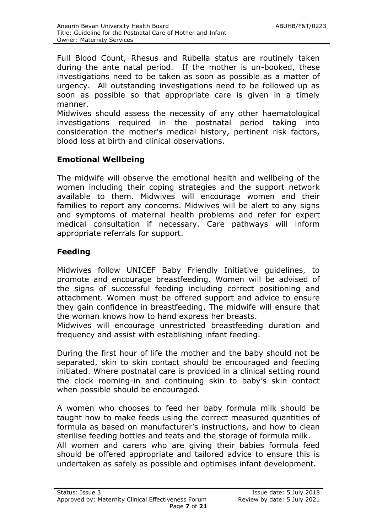Full Blood Count, Rhesus and Rubella status are routinely taken during the ante natal period. If the mother is un-booked, these investigations need to be taken as soon as possible as a matter of urgency. All outstanding investigations need to be followed up as soon as possible so that appropriate care is given in a timely manner.

Midwives should assess the necessity of any other haematological investigations required in the postnatal period taking into consideration the mother's medical history, pertinent risk factors, blood loss at birth and clinical observations.

#### **Emotional Wellbeing**

The midwife will observe the emotional health and wellbeing of the women including their coping strategies and the support network available to them. Midwives will encourage women and their families to report any concerns. Midwives will be alert to any signs and symptoms of maternal health problems and refer for expert medical consultation if necessary. Care pathways will inform appropriate referrals for support.

#### **Feeding**

Midwives follow UNICEF Baby Friendly Initiative guidelines, to promote and encourage breastfeeding. Women will be advised of the signs of successful feeding including correct positioning and attachment. Women must be offered support and advice to ensure they gain confidence in breastfeeding. The midwife will ensure that the woman knows how to hand express her breasts.

Midwives will encourage unrestricted breastfeeding duration and frequency and assist with establishing infant feeding.

During the first hour of life the mother and the baby should not be separated, skin to skin contact should be encouraged and feeding initiated. Where postnatal care is provided in a clinical setting round the clock rooming-in and continuing skin to baby's skin contact when possible should be encouraged.

A women who chooses to feed her baby formula milk should be taught how to make feeds using the correct measured quantities of formula as based on manufacturer's instructions, and how to clean sterilise feeding bottles and teats and the storage of formula milk. All women and carers who are giving their babies formula feed should be offered appropriate and tailored advice to ensure this is undertaken as safely as possible and optimises infant development.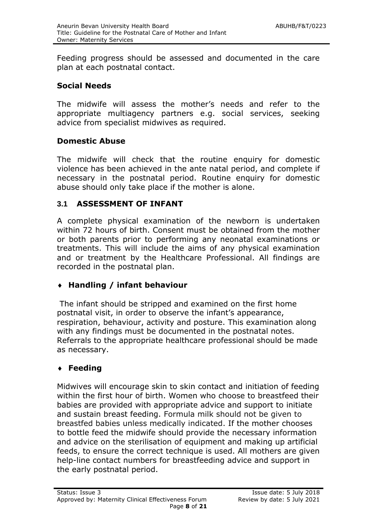Feeding progress should be assessed and documented in the care plan at each postnatal contact.

#### **Social Needs**

The midwife will assess the mother's needs and refer to the appropriate multiagency partners e.g. social services, seeking advice from specialist midwives as required.

#### **Domestic Abuse**

The midwife will check that the routine enquiry for domestic violence has been achieved in the ante natal period, and complete if necessary in the postnatal period. Routine enquiry for domestic abuse should only take place if the mother is alone.

#### **3.1 ASSESSMENT OF INFANT**

A complete physical examination of the newborn is undertaken within 72 hours of birth. Consent must be obtained from the mother or both parents prior to performing any neonatal examinations or treatments. This will include the aims of any physical examination and or treatment by the Healthcare Professional. All findings are recorded in the postnatal plan.

#### **Handling / infant behaviour**

The infant should be stripped and examined on the first home postnatal visit, in order to observe the infant's appearance, respiration, behaviour, activity and posture. This examination along with any findings must be documented in the postnatal notes. Referrals to the appropriate healthcare professional should be made as necessary.

#### **Feeding**

Midwives will encourage skin to skin contact and initiation of feeding within the first hour of birth. Women who choose to breastfeed their babies are provided with appropriate advice and support to initiate and sustain breast feeding. Formula milk should not be given to breastfed babies unless medically indicated. If the mother chooses to bottle feed the midwife should provide the necessary information and advice on the sterilisation of equipment and making up artificial feeds, to ensure the correct technique is used. All mothers are given help-line contact numbers for breastfeeding advice and support in the early postnatal period.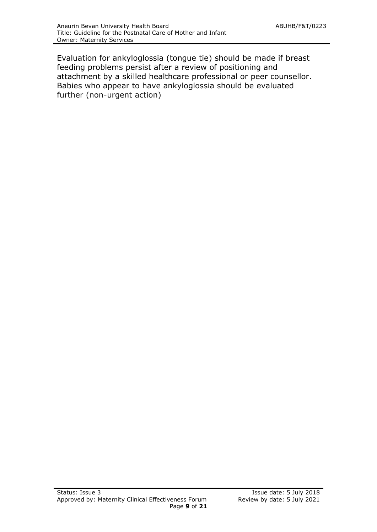Evaluation for ankyloglossia (tongue tie) should be made if breast feeding problems persist after a review of positioning and attachment by a skilled healthcare professional or peer counsellor. Babies who appear to have ankyloglossia should be evaluated further (non-urgent action)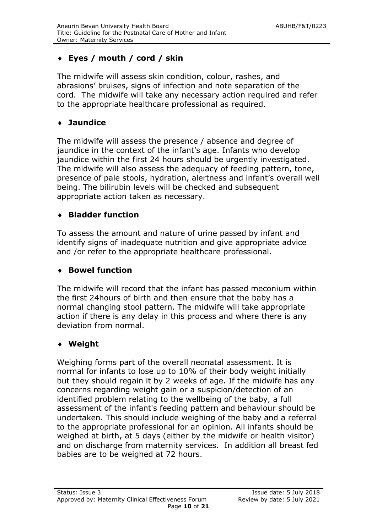# **Eyes / mouth / cord / skin**

The midwife will assess skin condition, colour, rashes, and abrasions' bruises, signs of infection and note separation of the cord. The midwife will take any necessary action required and refer to the appropriate healthcare professional as required.

#### **Jaundice**

The midwife will assess the presence / absence and degree of jaundice in the context of the infant's age. Infants who develop jaundice within the first 24 hours should be urgently investigated. The midwife will also assess the adequacy of feeding pattern, tone, presence of pale stools, hydration, alertness and infant's overall well being. The bilirubin levels will be checked and subsequent appropriate action taken as necessary.

#### **Bladder function**

To assess the amount and nature of urine passed by infant and identify signs of inadequate nutrition and give appropriate advice and /or refer to the appropriate healthcare professional.

#### **Bowel function**

The midwife will record that the infant has passed meconium within the first 24hours of birth and then ensure that the baby has a normal changing stool pattern. The midwife will take appropriate action if there is any delay in this process and where there is any deviation from normal.

#### **Weight**

Weighing forms part of the overall neonatal assessment. It is normal for infants to lose up to 10% of their body weight initially but they should regain it by 2 weeks of age. If the midwife has any concerns regarding weight gain or a suspicion/detection of an identified problem relating to the wellbeing of the baby, a full assessment of the infant's feeding pattern and behaviour should be undertaken. This should include weighing of the baby and a referral to the appropriate professional for an opinion. All infants should be weighed at birth, at 5 days (either by the midwife or health visitor) and on discharge from maternity services. In addition all breast fed babies are to be weighed at 72 hours.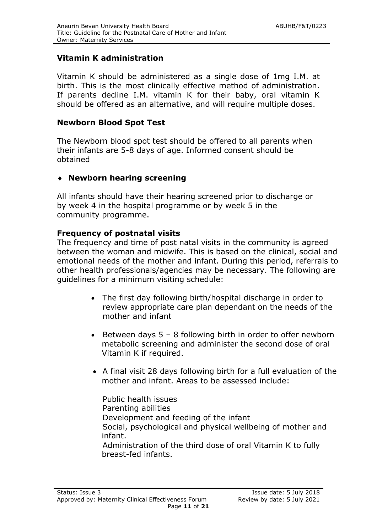# **Vitamin K administration**

Vitamin K should be administered as a single dose of 1mg I.M. at birth. This is the most clinically effective method of administration. If parents decline I.M. vitamin K for their baby, oral vitamin K should be offered as an alternative, and will require multiple doses.

#### **Newborn Blood Spot Test**

The Newborn blood spot test should be offered to all parents when their infants are 5-8 days of age. Informed consent should be obtained

#### **Newborn hearing screening**

All infants should have their hearing screened prior to discharge or by week 4 in the hospital programme or by week 5 in the community programme.

#### **Frequency of postnatal visits**

The frequency and time of post natal visits in the community is agreed between the woman and midwife. This is based on the clinical, social and emotional needs of the mother and infant. During this period, referrals to other health professionals/agencies may be necessary. The following are guidelines for a minimum visiting schedule:

- The first day following birth/hospital discharge in order to review appropriate care plan dependant on the needs of the mother and infant
- Extemble Between days  $5 8$  following birth in order to offer newborn metabolic screening and administer the second dose of oral Vitamin K if required.
- A final visit 28 days following birth for a full evaluation of the mother and infant. Areas to be assessed include:

Public health issues Parenting abilities Development and feeding of the infant Social, psychological and physical wellbeing of mother and infant. Administration of the third dose of oral Vitamin K to fully breast-fed infants.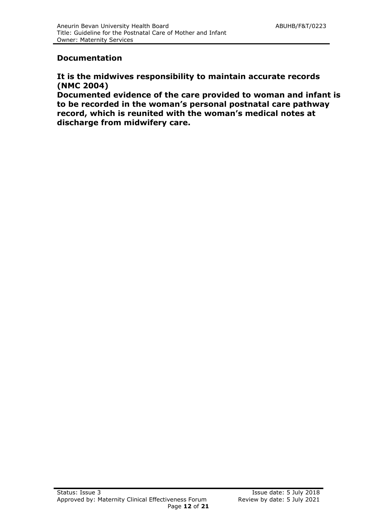#### **Documentation**

#### **It is the midwives responsibility to maintain accurate records (NMC 2004)**

**Documented evidence of the care provided to woman and infant is to be recorded in the woman's personal postnatal care pathway record, which is reunited with the woman's medical notes at discharge from midwifery care.**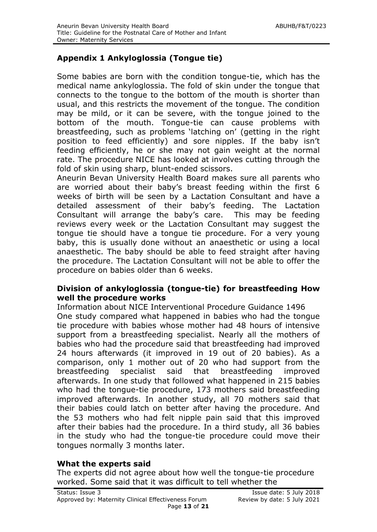# **Appendix 1 Ankyloglossia (Tongue tie)**

Some babies are born with the condition tongue-tie, which has the medical name ankyloglossia. The fold of skin under the tongue that connects to the tongue to the bottom of the mouth is shorter than usual, and this restricts the movement of the tongue. The condition may be mild, or it can be severe, with the tongue joined to the bottom of the mouth. Tongue-tie can cause problems with breastfeeding, such as problems 'latching on' (getting in the right position to feed efficiently) and sore nipples. If the baby isn't feeding efficiently, he or she may not gain weight at the normal rate. The procedure NICE has looked at involves cutting through the fold of skin using sharp, blunt-ended scissors.

Aneurin Bevan University Health Board makes sure all parents who are worried about their baby's breast feeding within the first 6 weeks of birth will be seen by a Lactation Consultant and have a detailed assessment of their baby's feeding. The Lactation Consultant will arrange the baby's care. This may be feeding reviews every week or the Lactation Consultant may suggest the tongue tie should have a tongue tie procedure. For a very young baby, this is usually done without an anaesthetic or using a local anaesthetic. The baby should be able to feed straight after having the procedure. The Lactation Consultant will not be able to offer the procedure on babies older than 6 weeks.

#### **Division of ankyloglossia (tongue-tie) for breastfeeding How well the procedure works**

Information about NICE Interventional Procedure Guidance 1496 One study compared what happened in babies who had the tongue tie procedure with babies whose mother had 48 hours of intensive support from a breastfeeding specialist. Nearly all the mothers of babies who had the procedure said that breastfeeding had improved 24 hours afterwards (it improved in 19 out of 20 babies). As a comparison, only 1 mother out of 20 who had support from the breastfeeding specialist said that breastfeeding improved afterwards. In one study that followed what happened in 215 babies who had the tongue-tie procedure, 173 mothers said breastfeeding improved afterwards. In another study, all 70 mothers said that their babies could latch on better after having the procedure. And the 53 mothers who had felt nipple pain said that this improved after their babies had the procedure. In a third study, all 36 babies in the study who had the tongue-tie procedure could move their tongues normally 3 months later.

#### **What the experts said**

The experts did not agree about how well the tongue-tie procedure worked. Some said that it was difficult to tell whether the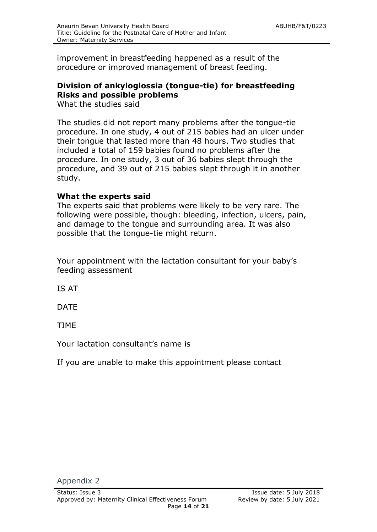improvement in breastfeeding happened as a result of the procedure or improved management of breast feeding.

# **Division of ankyloglossia (tongue-tie) for breastfeeding Risks and possible problems**

What the studies said

The studies did not report many problems after the tongue-tie procedure. In one study, 4 out of 215 babies had an ulcer under their tongue that lasted more than 48 hours. Two studies that included a total of 159 babies found no problems after the procedure. In one study, 3 out of 36 babies slept through the procedure, and 39 out of 215 babies slept through it in another study.

# **What the experts said**

The experts said that problems were likely to be very rare. The following were possible, though: bleeding, infection, ulcers, pain, and damage to the tongue and surrounding area. It was also possible that the tongue-tie might return.

Your appointment with the lactation consultant for your baby's feeding assessment

IS AT

DATE

TIME

Your lactation consultant's name is

If you are unable to make this appointment please contact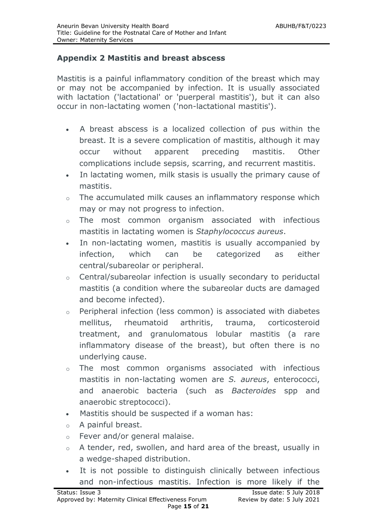#### **Appendix 2 Mastitis and breast abscess**

Mastitis is a painful inflammatory condition of the breast which may or may not be accompanied by infection. It is usually associated with lactation ('lactational' or 'puerperal mastitis'), but it can also occur in non-lactating women ('non-lactational mastitis').

- A breast abscess is a localized collection of pus within the breast. It is a severe complication of mastitis, although it may occur without apparent preceding mastitis. Other complications include sepsis, scarring, and recurrent mastitis.
- In lactating women, milk stasis is usually the primary cause of mastitis.
- o The accumulated milk causes an inflammatory response which may or may not progress to infection.
- o The most common organism associated with infectious mastitis in lactating women is *Staphylococcus aureus*.
- In non-lactating women, mastitis is usually accompanied by infection, which can be categorized as either central/subareolar or peripheral.
- o Central/subareolar infection is usually secondary to periductal mastitis (a condition where the subareolar ducts are damaged and become infected).
- o Peripheral infection (less common) is associated with diabetes mellitus, rheumatoid arthritis, trauma, corticosteroid treatment, and granulomatous lobular mastitis (a rare inflammatory disease of the breast), but often there is no underlying cause.
- o The most common organisms associated with infectious mastitis in non-lactating women are *S. aureus*, enterococci, and anaerobic bacteria (such as *Bacteroides* spp and anaerobic streptococci).
- Mastitis should be suspected if a woman has:
- o A painful breast.
- o Fever and/or general malaise.
- o A tender, red, swollen, and hard area of the breast, usually in a wedge-shaped distribution.
- It is not possible to distinguish clinically between infectious and non-infectious mastitis. Infection is more likely if the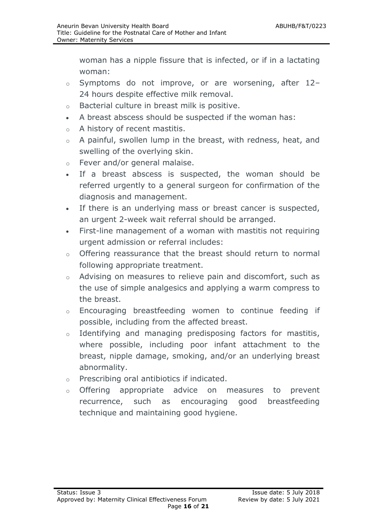woman has a nipple fissure that is infected, or if in a lactating woman:

- o Symptoms do not improve, or are worsening, after 12– 24 hours despite effective milk removal.
- o Bacterial culture in breast milk is positive.
- A breast abscess should be suspected if the woman has:
- o A history of recent mastitis.
- o A painful, swollen lump in the breast, with redness, heat, and swelling of the overlying skin.
- o Fever and/or general malaise.
- If a breast abscess is suspected, the woman should be referred urgently to a general surgeon for confirmation of the diagnosis and management.
- If there is an underlying mass or breast cancer is suspected, an urgent 2-week wait referral should be arranged.
- First-line management of a woman with mastitis not requiring urgent admission or referral includes:
- o Offering reassurance that the breast should return to normal following appropriate treatment.
- o Advising on measures to relieve pain and discomfort, such as the use of simple analgesics and applying a warm compress to the breast.
- o Encouraging breastfeeding women to continue feeding if possible, including from the affected breast.
- o Identifying and managing predisposing factors for mastitis, where possible, including poor infant attachment to the breast, nipple damage, smoking, and/or an underlying breast abnormality.
- o Prescribing oral antibiotics if indicated.
- o Offering appropriate advice on measures to prevent recurrence, such as encouraging good breastfeeding technique and maintaining good hygiene.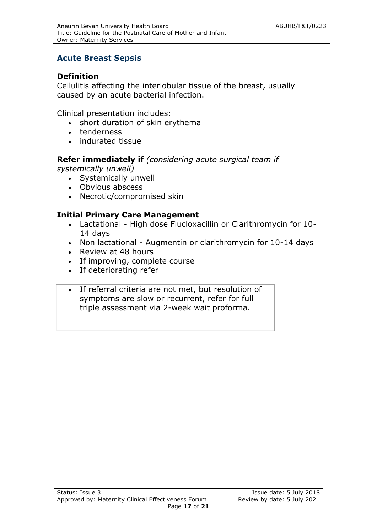#### **Acute Breast Sepsis**

#### **Definition**

Cellulitis affecting the interlobular tissue of the breast, usually caused by an acute bacterial infection.

Clinical presentation includes:

- short duration of skin erythema
- tenderness
- indurated tissue

#### **Refer immediately if** *(considering acute surgical team if*

*systemically unwell)*

- Systemically unwell
- Obvious abscess
- Necrotic/compromised skin

#### **Initial Primary Care Management**

- Lactational High dose Flucloxacillin or Clarithromycin for 10- 14 days
- Non lactational Augmentin or clarithromycin for 10-14 days
- Review at 48 hours
- If improving, complete course
- If deteriorating refer
- If referral criteria are not met, but resolution of symptoms are slow or recurrent, refer for full triple assessment via 2-week wait proforma.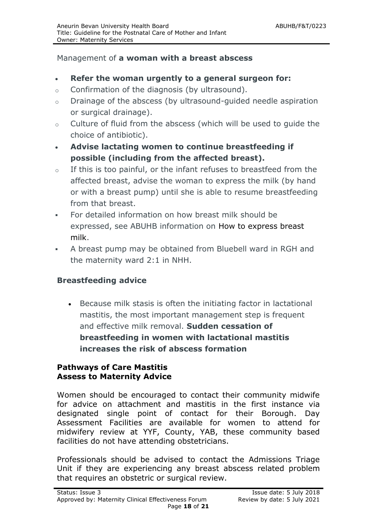#### Management of **a woman with a breast abscess**

- **Refer the woman urgently to a general surgeon for:**
- o Confirmation of the diagnosis (by ultrasound).
- o Drainage of the abscess (by ultrasound-guided needle aspiration or surgical drainage).
- o Culture of fluid from the abscess (which will be used to guide the choice of antibiotic).
- **Advise lactating women to continue breastfeeding if possible (including from the affected breast).**
- $\circ$  If this is too painful, or the infant refuses to breastfeed from the affected breast, advise the woman to express the milk (by hand or with a breast pump) until she is able to resume breastfeeding from that breast.
- For detailed information on how breast milk should be expressed, see ABUHB information on [How to express breast](http://cks.nice.org.uk/breastfeeding-problems#!scenarioclarification)  [milk.](http://cks.nice.org.uk/breastfeeding-problems#!scenarioclarification)
- A breast pump may be obtained from Bluebell ward in RGH and the maternity ward 2:1 in NHH.

#### **Breastfeeding advice**

 Because milk stasis is often the initiating factor in lactational mastitis, the most important management step is frequent and effective milk removal. **Sudden cessation of breastfeeding in women with lactational mastitis increases the risk of abscess formation**

#### **Pathways of Care Mastitis Assess to Maternity Advice**

Women should be encouraged to contact their community midwife for advice on attachment and mastitis in the first instance via designated single point of contact for their Borough. Day Assessment Facilities are available for women to attend for midwifery review at YYF, County, YAB, these community based facilities do not have attending obstetricians.

Professionals should be advised to contact the Admissions Triage Unit if they are experiencing any breast abscess related problem that requires an obstetric or surgical review.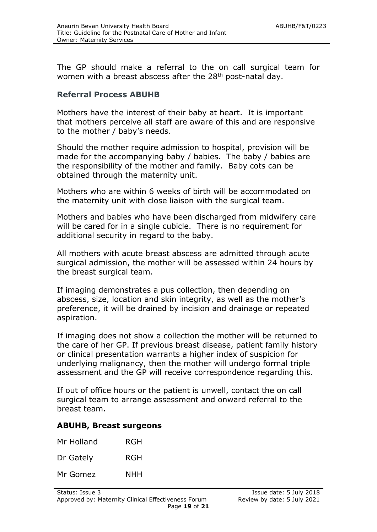The GP should make a referral to the on call surgical team for women with a breast abscess after the  $28<sup>th</sup>$  post-natal day.

#### **Referral Process ABUHB**

Mothers have the interest of their baby at heart. It is important that mothers perceive all staff are aware of this and are responsive to the mother / baby's needs.

Should the mother require admission to hospital, provision will be made for the accompanying baby / babies. The baby / babies are the responsibility of the mother and family. Baby cots can be obtained through the maternity unit.

Mothers who are within 6 weeks of birth will be accommodated on the maternity unit with close liaison with the surgical team.

Mothers and babies who have been discharged from midwifery care will be cared for in a single cubicle. There is no requirement for additional security in regard to the baby.

All mothers with acute breast abscess are admitted through acute surgical admission, the mother will be assessed within 24 hours by the breast surgical team.

If imaging demonstrates a pus collection, then depending on abscess, size, location and skin integrity, as well as the mother's preference, it will be drained by incision and drainage or repeated aspiration.

If imaging does not show a collection the mother will be returned to the care of her GP. If previous breast disease, patient family history or clinical presentation warrants a higher index of suspicion for underlying malignancy, then the mother will undergo formal triple assessment and the GP will receive correspondence regarding this.

If out of office hours or the patient is unwell, contact the on call surgical team to arrange assessment and onward referral to the breast team.

#### **ABUHB, Breast surgeons**

| Mr Holland | RGH |
|------------|-----|
| Dr Gately  | RGH |
| Mr Gomez   | NHH |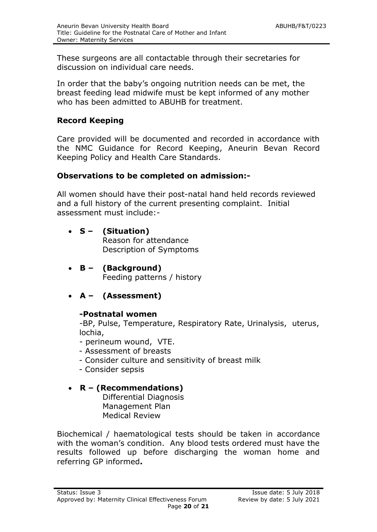These surgeons are all contactable through their secretaries for discussion on individual care needs.

In order that the baby's ongoing nutrition needs can be met, the breast feeding lead midwife must be kept informed of any mother who has been admitted to ABUHB for treatment.

# **Record Keeping**

Care provided will be documented and recorded in accordance with the NMC Guidance for Record Keeping, Aneurin Bevan Record Keeping Policy and Health Care Standards.

# **Observations to be completed on admission:-**

All women should have their post-natal hand held records reviewed and a full history of the current presenting complaint. Initial assessment must include:-

- **S – (Situation)** Reason for attendance Description of Symptoms
- **B – (Background)** Feeding patterns / history
- **A – (Assessment)**

#### **-Postnatal women**

-BP, Pulse, Temperature, Respiratory Rate, Urinalysis, uterus, lochia,

- perineum wound, VTE.
- Assessment of breasts
- Consider culture and sensitivity of breast milk
- Consider sepsis

# **R – (Recommendations)**

Differential Diagnosis Management Plan Medical Review

Biochemical / haematological tests should be taken in accordance with the woman's condition. Any blood tests ordered must have the results followed up before discharging the woman home and referring GP informed**.**